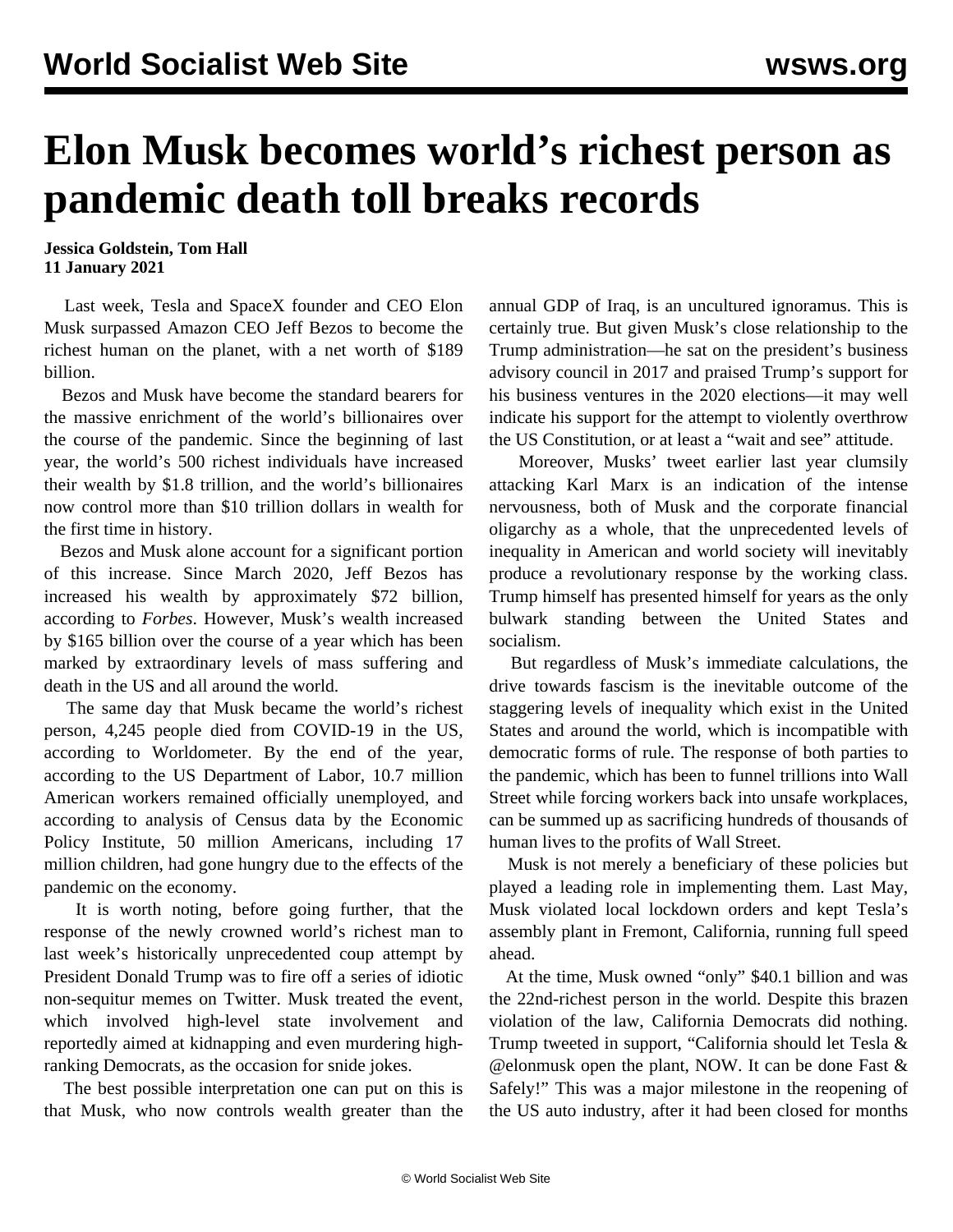## **Elon Musk becomes world's richest person as pandemic death toll breaks records**

**Jessica Goldstein, Tom Hall 11 January 2021**

 Last week, Tesla and SpaceX founder and CEO Elon Musk surpassed Amazon CEO Jeff Bezos to become the richest human on the planet, with a net worth of \$189 billion.

 Bezos and Musk have become the standard bearers for the massive enrichment of the world's billionaires over the course of the pandemic. Since the beginning of last year, the world's 500 richest individuals have increased their wealth by \$1.8 trillion, and the world's billionaires now control more than \$10 trillion dollars in wealth for the first time in history.

 Bezos and Musk alone account for a significant portion of this increase. Since March 2020, Jeff Bezos has increased his wealth by approximately \$72 billion, according to *Forbes*. However, Musk's wealth increased by \$165 billion over the course of a year which has been marked by extraordinary levels of mass suffering and death in the US and all around the world.

 The same day that Musk became the world's richest person, 4,245 people died from COVID-19 in the US, according to Worldometer. By the end of the year, according to the US Department of Labor, 10.7 million American workers remained officially unemployed, and according to analysis of Census data by the Economic Policy Institute, 50 million Americans, including 17 million children, had gone hungry due to the effects of the pandemic on the economy.

 It is worth noting, before going further, that the response of the newly crowned world's richest man to last week's historically unprecedented coup attempt by President Donald Trump was to fire off a series of idiotic non-sequitur memes on Twitter. Musk treated the event, which involved high-level state involvement and reportedly aimed at kidnapping and even murdering highranking Democrats, as the occasion for snide jokes.

 The best possible interpretation one can put on this is that Musk, who now controls wealth greater than the

annual GDP of Iraq, is an uncultured ignoramus. This is certainly true. But given Musk's close relationship to the Trump administration—he sat on the president's business advisory council in 2017 and praised Trump's support for his business ventures in the 2020 elections—it may well indicate his support for the attempt to violently overthrow the US Constitution, or at least a "wait and see" attitude.

 Moreover, Musks' tweet earlier last year [clumsily](/en/articles/2020/07/29/musk-j29.html) [attacking Karl Marx](/en/articles/2020/07/29/musk-j29.html) is an indication of the intense nervousness, both of Musk and the corporate financial oligarchy as a whole, that the unprecedented levels of inequality in American and world society will inevitably produce a revolutionary response by the working class. Trump himself has presented himself for years as the only bulwark standing between the United States and socialism.

 But regardless of Musk's immediate calculations, the drive towards fascism is the inevitable outcome of the staggering levels of inequality which exist in the United States and around the world, which is incompatible with democratic forms of rule. The response of both parties to the pandemic, which has been to funnel trillions into Wall Street while forcing workers back into unsafe workplaces, can be summed up as sacrificing hundreds of thousands of human lives to the profits of Wall Street.

 Musk is not merely a beneficiary of these policies but played a leading role in implementing them. Last May, Musk violated local lockdown orders and kept Tesla's assembly plant in Fremont, California, running full speed ahead.

 At the time, Musk owned "only" \$40.1 billion and was the 22nd-richest person in the world. Despite this brazen violation of the law, California Democrats did nothing. Trump tweeted in support, "California should let Tesla & @elonmusk open the plant, NOW. It can be done Fast & Safely!" This was a major milestone in the reopening of the US auto industry, after it had been closed for months